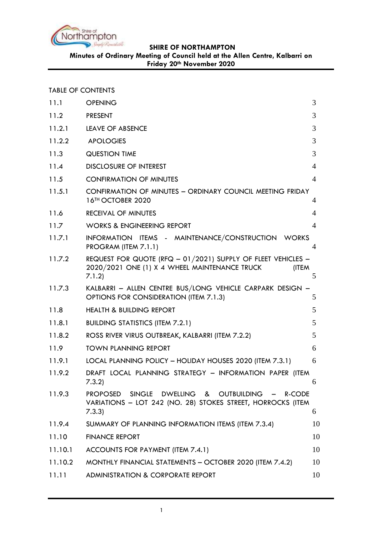

**Minutes of Ordinary Meeting of Council held at the Allen Centre, Kalbarri on Friday 20th November 2020**

#### TABLE OF CONTENTS

| 11.1    | <b>OPENING</b>                                                                                                                   | 3              |
|---------|----------------------------------------------------------------------------------------------------------------------------------|----------------|
| 11.2    | <b>PRESENT</b>                                                                                                                   | 3              |
| 11.2.1  | <b>LEAVE OF ABSENCE</b>                                                                                                          | 3              |
| 11.2.2  | <b>APOLOGIES</b>                                                                                                                 | 3              |
| 11.3    | <b>QUESTION TIME</b>                                                                                                             | 3              |
| 11.4    | <b>DISCLOSURE OF INTEREST</b>                                                                                                    | $\overline{4}$ |
| 11.5    | <b>CONFIRMATION OF MINUTES</b>                                                                                                   | 4              |
| 11.5.1  | CONFIRMATION OF MINUTES - ORDINARY COUNCIL MEETING FRIDAY<br>16 <sup>TH</sup> OCTOBER 2020                                       | 4              |
| 11.6    | <b>RECEIVAL OF MINUTES</b>                                                                                                       | 4              |
| 11.7    | <b>WORKS &amp; ENGINEERING REPORT</b>                                                                                            | 4              |
| 11.7.1  | INFORMATION ITEMS - MAINTENANCE/CONSTRUCTION WORKS<br>PROGRAM (ITEM 7.1.1)                                                       | 4              |
| 11.7.2  | REQUEST FOR QUOTE (RFQ - 01/2021) SUPPLY OF FLEET VEHICLES -<br>2020/2021 ONE (1) X 4 WHEEL MAINTENANCE TRUCK<br>(ITEM<br>7.1.2) | 5              |
| 11.7.3  | KALBARRI - ALLEN CENTRE BUS/LONG VEHICLE CARPARK DESIGN -<br><b>OPTIONS FOR CONSIDERATION (ITEM 7.1.3)</b>                       | 5              |
| 11.8    | <b>HEALTH &amp; BUILDING REPORT</b>                                                                                              | 5              |
| 11.8.1  | <b>BUILDING STATISTICS (ITEM 7.2.1)</b>                                                                                          | 5              |
| 11.8.2  | ROSS RIVER VIRUS OUTBREAK, KALBARRI (ITEM 7.2.2)                                                                                 | 5              |
| 11.9    | <b>TOWN PLANNING REPORT</b>                                                                                                      | 6              |
| 11.9.1  | LOCAL PLANNING POLICY - HOLIDAY HOUSES 2020 (ITEM 7.3.1)                                                                         | 6              |
| 11.9.2  | DRAFT LOCAL PLANNING STRATEGY - INFORMATION PAPER (ITEM<br>7.3.2)                                                                | 6              |
| 11.9.3  | SINGLE DWELLING &<br>OUTBUILDING - R-CODE<br>PROPOSED<br>VARIATIONS - LOT 242 (NO. 28) STOKES STREET, HORROCKS (ITEM<br>7.3.3)   | 6              |
| 11.9.4  | SUMMARY OF PLANNING INFORMATION ITEMS (ITEM 7.3.4)                                                                               | 10             |
| 11.10   | <b>FINANCE REPORT</b>                                                                                                            | 10             |
| 11.10.1 | ACCOUNTS FOR PAYMENT (ITEM 7.4.1)                                                                                                | 10             |
| 11.10.2 | MONTHLY FINANCIAL STATEMENTS - OCTOBER 2020 (ITEM 7.4.2)                                                                         | 10             |
| 11.11   | <b>ADMINISTRATION &amp; CORPORATE REPORT</b>                                                                                     | 10             |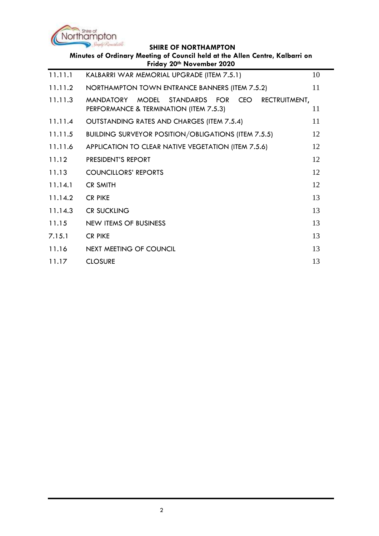

| Minutes of Ordinary Meeting of Council held at the Allen Centre, Kalbarri on<br>Friday 20th November 2020 |                                                                                                                                      |    |  |  |  |
|-----------------------------------------------------------------------------------------------------------|--------------------------------------------------------------------------------------------------------------------------------------|----|--|--|--|
| 11.11.1                                                                                                   | KALBARRI WAR MEMORIAL UPGRADE (ITEM 7.5.1)                                                                                           | 10 |  |  |  |
| 11.11.2                                                                                                   | NORTHAMPTON TOWN ENTRANCE BANNERS (ITEM 7.5.2)                                                                                       | 11 |  |  |  |
| 11.11.3                                                                                                   | <b>STANDARDS</b><br><b>MANDATORY</b><br>MODEL<br><b>FOR</b><br><b>CEO</b><br>RECTRUITMENT,<br>PERFORMANCE & TERMINATION (ITEM 7.5.3) | 11 |  |  |  |
| 11.11.4                                                                                                   | OUTSTANDING RATES AND CHARGES (ITEM 7.5.4)                                                                                           | 11 |  |  |  |
| 11.11.5                                                                                                   | <b>BUILDING SURVEYOR POSITION/OBLIGATIONS (ITEM 7.5.5)</b>                                                                           | 12 |  |  |  |
| 11.11.6                                                                                                   | APPLICATION TO CLEAR NATIVE VEGETATION (ITEM 7.5.6)                                                                                  | 12 |  |  |  |
| 11.12                                                                                                     | PRESIDENT'S REPORT                                                                                                                   | 12 |  |  |  |
| 11.13                                                                                                     | <b>COUNCILLORS' REPORTS</b>                                                                                                          | 12 |  |  |  |
| 11.14.1                                                                                                   | <b>CR SMITH</b>                                                                                                                      | 12 |  |  |  |
| 11.14.2                                                                                                   | <b>CR PIKE</b>                                                                                                                       | 13 |  |  |  |
| 11.14.3                                                                                                   | <b>CR SUCKLING</b>                                                                                                                   | 13 |  |  |  |
| 11.15                                                                                                     | <b>NEW ITEMS OF BUSINESS</b>                                                                                                         | 13 |  |  |  |
| 7.15.1                                                                                                    | <b>CR PIKE</b>                                                                                                                       | 13 |  |  |  |
| 11.16                                                                                                     | NEXT MEETING OF COUNCIL                                                                                                              | 13 |  |  |  |
| 11.17                                                                                                     | <b>CLOSURE</b>                                                                                                                       | 13 |  |  |  |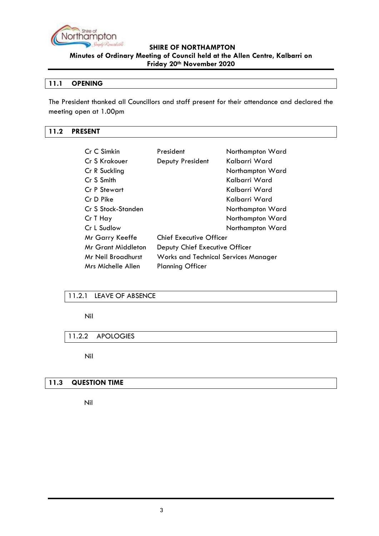

**Minutes of Ordinary Meeting of Council held at the Allen Centre, Kalbarri on Friday 20th November 2020**

#### <span id="page-2-0"></span>**11.1 OPENING**

The President thanked all Councillors and staff present for their attendance and declared the meeting open at 1.00pm

## <span id="page-2-1"></span>**11.2 PRESENT**

| Cr C Simkin        | President                            | Northampton Ward |  |
|--------------------|--------------------------------------|------------------|--|
| Cr S Krakouer      | Deputy President                     | Kalbarri Ward    |  |
| Cr R Suckling      |                                      | Northampton Ward |  |
| Cr S Smith         |                                      | Kalbarri Ward    |  |
| Cr P Stewart       |                                      | Kalbarri Ward    |  |
| Cr D Pike          |                                      | Kalbarri Ward    |  |
| Cr S Stock-Standen |                                      | Northampton Ward |  |
| Cr T Hay           |                                      | Northampton Ward |  |
| Cr L Sudlow        |                                      | Northampton Ward |  |
| Mr Garry Keeffe    | <b>Chief Executive Officer</b>       |                  |  |
| Mr Grant Middleton | Deputy Chief Executive Officer       |                  |  |
| Mr Neil Broadhurst | Works and Technical Services Manager |                  |  |
| Mrs Michelle Allen | <b>Planning Officer</b>              |                  |  |

## <span id="page-2-2"></span>11.2.1 LEAVE OF ABSENCE

Nil

## <span id="page-2-3"></span>11.2.2 APOLOGIES

Nil

#### <span id="page-2-4"></span>**11.3 QUESTION TIME**

Nil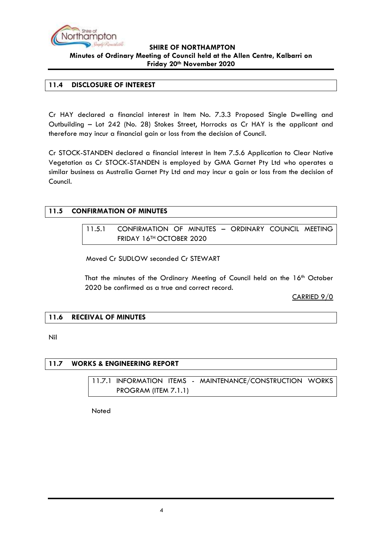

#### <span id="page-3-0"></span>**11.4 DISCLOSURE OF INTEREST**

Cr HAY declared a financial interest in Item No. 7.3.3 Proposed Single Dwelling and Outbuilding – Lot 242 (No. 28) Stokes Street, Horrocks as Cr HAY is the applicant and therefore may incur a financial gain or loss from the decision of Council.

Cr STOCK-STANDEN declared a financial interest in Item 7.5.6 Application to Clear Native Vegetation as Cr STOCK-STANDEN is employed by GMA Garnet Pty Ltd who operates a similar business as Australia Garnet Pty Ltd and may incur a gain or loss from the decision of Council.

## <span id="page-3-2"></span><span id="page-3-1"></span>**11.5 CONFIRMATION OF MINUTES**

11.5.1 CONFIRMATION OF MINUTES – ORDINARY COUNCIL MEETING FRIDAY 16TH OCTOBER 2020

Moved Cr SUDLOW seconded Cr STEWART

That the minutes of the Ordinary Meeting of Council held on the 16<sup>th</sup> October 2020 be confirmed as a true and correct record.

CARRIED 9/0

## <span id="page-3-3"></span>**11.6 RECEIVAL OF MINUTES**

Nil

## <span id="page-3-5"></span><span id="page-3-4"></span>**11.7 WORKS & ENGINEERING REPORT**

11.7.1 INFORMATION ITEMS - MAINTENANCE/CONSTRUCTION WORKS PROGRAM (ITEM 7.1.1)

Noted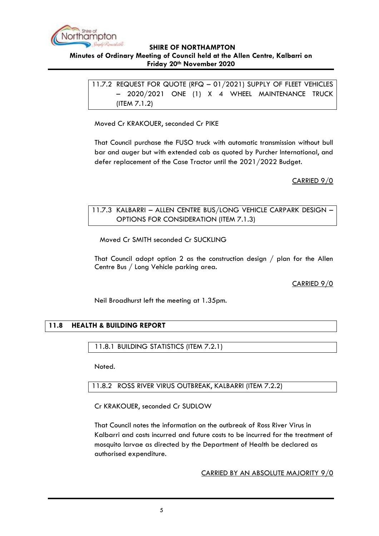

## <span id="page-4-0"></span>**Minutes of Ordinary Meeting of Council held at the Allen Centre, Kalbarri on Friday 20th November 2020**

11.7.2 REQUEST FOR QUOTE (RFQ – 01/2021) SUPPLY OF FLEET VEHICLES – 2020/2021 ONE (1) X 4 WHEEL MAINTENANCE TRUCK (ITEM 7.1.2)

Moved Cr KRAKOUER, seconded Cr PIKE

That Council purchase the FUSO truck with automatic transmission without bull bar and auger but with extended cab as quoted by Purcher International, and defer replacement of the Case Tractor until the 2021/2022 Budget.

CARRIED 9/0

## <span id="page-4-1"></span>11.7.3 KALBARRI – ALLEN CENTRE BUS/LONG VEHICLE CARPARK DESIGN – OPTIONS FOR CONSIDERATION (ITEM 7.1.3)

Moved Cr SMITH seconded Cr SUCKLING

That Council adopt option 2 as the construction design / plan for the Allen Centre Bus / Long Vehicle parking area.

CARRIED 9/0

Neil Broadhurst left the meeting at 1.35pm.

## <span id="page-4-2"></span>**11.8 HEALTH & BUILDING REPORT**

<span id="page-4-3"></span>11.8.1 BUILDING STATISTICS (ITEM 7.2.1)

Noted.

<span id="page-4-4"></span>11.8.2 ROSS RIVER VIRUS OUTBREAK, KALBARRI (ITEM 7.2.2)

Cr KRAKOUER, seconded Cr SUDLOW

That Council notes the information on the outbreak of Ross River Virus in Kalbarri and costs incurred and future costs to be incurred for the treatment of mosquito larvae as directed by the Department of Health be declared as authorised expenditure.

CARRIED BY AN ABSOLUTE MAJORITY 9/0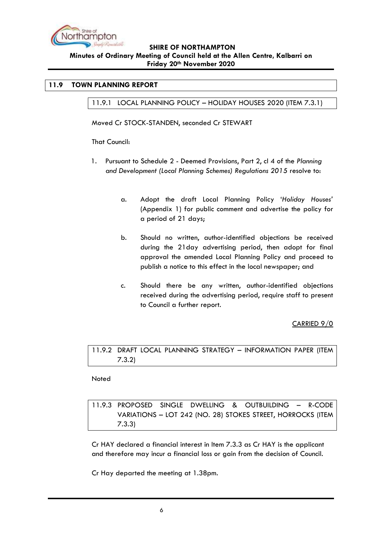

#### <span id="page-5-1"></span><span id="page-5-0"></span>**11.9 TOWN PLANNING REPORT**

11.9.1 LOCAL PLANNING POLICY – HOLIDAY HOUSES 2020 (ITEM 7.3.1)

Moved Cr STOCK-STANDEN, seconded Cr STEWART

That Council:

- 1. Pursuant to Schedule 2 Deemed Provisions, Part 2, cl 4 of the *Planning and Development (Local Planning Schemes) Regulations 2015* resolve to:
	- a. Adopt the draft Local Planning Policy '*Holiday Houses'*  (Appendix 1) for public comment and advertise the policy for a period of 21 days;
	- b. Should no written, author-identified objections be received during the 21day advertising period, then adopt for final approval the amended Local Planning Policy and proceed to publish a notice to this effect in the local newspaper; and
	- c. Should there be any written, author-identified objections received during the advertising period, require staff to present to Council a further report.

CARRIED 9/0

<span id="page-5-2"></span>11.9.2 DRAFT LOCAL PLANNING STRATEGY – INFORMATION PAPER (ITEM 7.3.2)

Noted

<span id="page-5-3"></span>11.9.3 PROPOSED SINGLE DWELLING & OUTBUILDING – R-CODE VARIATIONS – LOT 242 (NO. 28) STOKES STREET, HORROCKS (ITEM 7.3.3)

Cr HAY declared a financial interest in Item 7.3.3 as Cr HAY is the applicant and therefore may incur a financial loss or gain from the decision of Council.

Cr Hay departed the meeting at 1.38pm.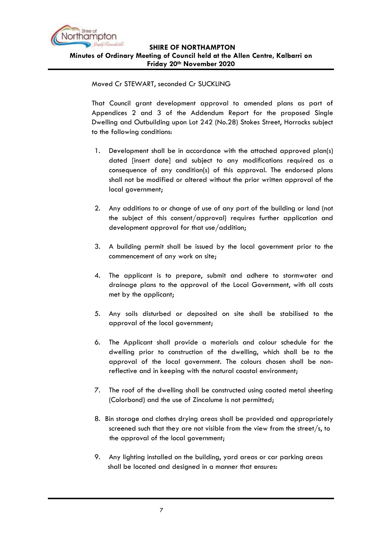

#### Moved Cr STEWART, seconded Cr SUCKLING

That Council grant development approval to amended plans as part of Appendices 2 and 3 of the Addendum Report for the proposed Single Dwelling and Outbuilding upon Lot 242 (No.28) Stokes Street, Horrocks subject to the following conditions:

- 1. Development shall be in accordance with the attached approved plan(s) dated [insert date] and subject to any modifications required as a consequence of any condition(s) of this approval. The endorsed plans shall not be modified or altered without the prior written approval of the local government;
- 2. Any additions to or change of use of any part of the building or land (not the subject of this consent/approval) requires further application and development approval for that use/addition;
- 3. A building permit shall be issued by the local government prior to the commencement of any work on site;
- 4. The applicant is to prepare, submit and adhere to stormwater and drainage plans to the approval of the Local Government, with all costs met by the applicant;
- 5. Any soils disturbed or deposited on site shall be stabilised to the approval of the local government;
- 6. The Applicant shall provide a materials and colour schedule for the dwelling prior to construction of the dwelling, which shall be to the approval of the local government. The colours chosen shall be nonreflective and in keeping with the natural coastal environment;
- 7. The roof of the dwelling shall be constructed using coated metal sheeting (Colorbond) and the use of Zincalume is not permitted;
- 8. Bin storage and clothes drying areas shall be provided and appropriately screened such that they are not visible from the view from the street/s, to the approval of the local government;
- 9. Any lighting installed on the building, yard areas or car parking areas shall be located and designed in a manner that ensures: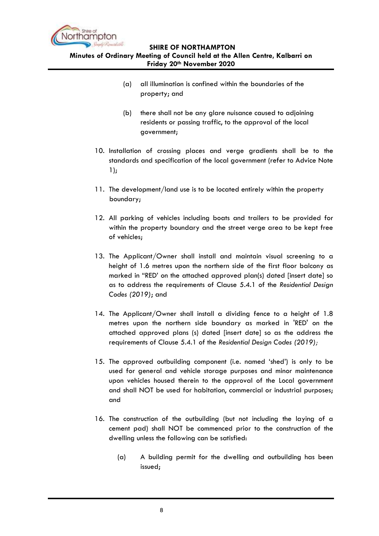

**Minutes of Ordinary Meeting of Council held at the Allen Centre, Kalbarri on Friday 20th November 2020**

- (a) all illumination is confined within the boundaries of the property; and
- (b) there shall not be any glare nuisance caused to adjoining residents or passing traffic, to the approval of the local government;
- 10. Installation of crossing places and verge gradients shall be to the standards and specification of the local government (refer to Advice Note 1);
- 11. The development/land use is to be located entirely within the property boundary;
- 12. All parking of vehicles including boats and trailers to be provided for within the property boundary and the street verge area to be kept free of vehicles;
- 13. The Applicant/Owner shall install and maintain visual screening to a height of 1.6 metres upon the northern side of the first floor balcony as marked in "RED' on the attached approved plan(s) dated [insert date] so as to address the requirements of Clause 5.4.1 of the *Residential Design Codes (2019)*; and
- 14. The Applicant/Owner shall install a dividing fence to a height of 1.8 metres upon the northern side boundary as marked in 'RED' on the attached approved plans (s) dated [insert date] so as the address the requirements of Clause 5.4.1 of the *Residential Design Codes (2019);*
- 15. The approved outbuilding component (i.e. named 'shed') is only to be used for general and vehicle storage purposes and minor maintenance upon vehicles housed therein to the approval of the Local government and shall NOT be used for habitation, commercial or industrial purposes; and
- 16. The construction of the outbuilding (but not including the laying of a cement pad) shall NOT be commenced prior to the construction of the dwelling unless the following can be satisfied:
	- (a) A building permit for the dwelling and outbuilding has been issued;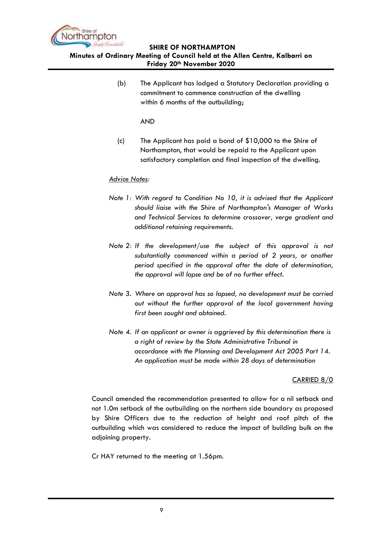

**Minutes of Ordinary Meeting of Council held at the Allen Centre, Kalbarri on Friday 20th November 2020**

> (b) The Applicant has lodged a Statutory Declaration providing a commitment to commence construction of the dwelling within 6 months of the outbuilding;

> > AND

 (c) The Applicant has paid a bond of \$10,000 to the Shire of Northampton, that would be repaid to the Applicant upon satisfactory completion and final inspection of the dwelling.

## *Advice Notes:*

- *Note 1: With regard to Condition No 10, it is advised that the Applicant should liaise with the Shire of Northampton's Manager of Works and Technical Services to determine crossover, verge gradient and additional retaining requirements.*
- *Note 2: If the development/use the subject of this approval is not substantially commenced within a period of 2 years, or another period specified in the approval after the date of determination, the approval will lapse and be of no further effect.*
- *Note 3. Where an approval has so lapsed, no development must be carried out without the further approval of the local government having first been sought and obtained.*
- *Note 4. If an applicant or owner is aggrieved by this determination there is a right of review by the State Administrative Tribunal in accordance with the Planning and Development Act 2005 Part 14. An application must be made within 28 days of determination*

## CARRIED 8/0

Council amended the recommendation presented to allow for a nil setback and not 1.0m setback of the outbuilding on the northern side boundary as proposed by Shire Officers due to the reduction of height and roof pitch of the outbuilding which was considered to reduce the impact of building bulk on the adjoining property.

Cr HAY returned to the meeting at 1.56pm.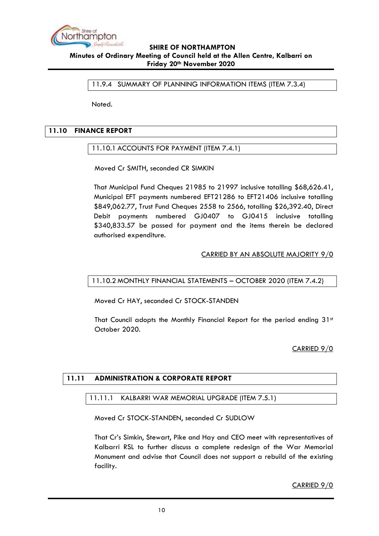

<span id="page-9-0"></span>11.9.4 SUMMARY OF PLANNING INFORMATION ITEMS (ITEM 7.3.4)

Noted.

## <span id="page-9-2"></span><span id="page-9-1"></span>**11.10 FINANCE REPORT**

## 11.10.1 ACCOUNTS FOR PAYMENT (ITEM 7.4.1)

Moved Cr SMITH, seconded CR SIMKIN

That Municipal Fund Cheques 21985 to 21997 inclusive totalling \$68,626.41, Municipal EFT payments numbered EFT21286 to EFT21406 inclusive totalling \$849,062.77, Trust Fund Cheques 2558 to 2566, totalling \$26,392.40, Direct Debit payments numbered GJ0407 to GJ0415 inclusive totalling \$340,833.57 be passed for payment and the items therein be declared authorised expenditure.

## CARRIED BY AN ABSOLUTE MAJORITY 9/0

## <span id="page-9-3"></span>11.10.2 MONTHLY FINANCIAL STATEMENTS – OCTOBER 2020 (ITEM 7.4.2)

Moved Cr HAY, seconded Cr STOCK-STANDEN

That Council adopts the Monthly Financial Report for the period ending  $31st$ October 2020.

CARRIED 9/0

## <span id="page-9-5"></span><span id="page-9-4"></span>**11.11 ADMINISTRATION & CORPORATE REPORT**

## 11.11.1 KALBARRI WAR MEMORIAL UPGRADE (ITEM 7.5.1)

Moved Cr STOCK-STANDEN, seconded Cr SUDLOW

That Cr's Simkin, Stewart, Pike and Hay and CEO meet with representatives of Kalbarri RSL to further discuss a complete redesign of the War Memorial Monument and advise that Council does not support a rebuild of the existing facility.

CARRIED 9/0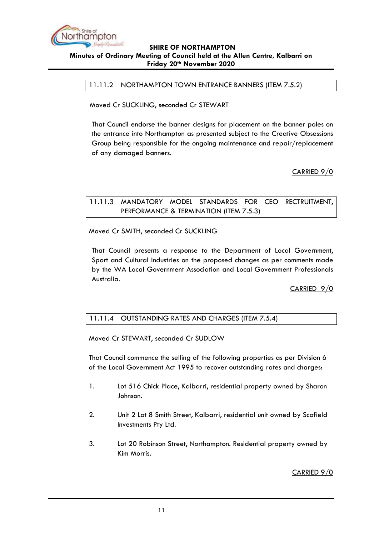

<span id="page-10-0"></span>11.11.2 NORTHAMPTON TOWN ENTRANCE BANNERS (ITEM 7.5.2)

Moved Cr SUCKLING, seconded Cr STEWART

That Council endorse the banner designs for placement on the banner poles on the entrance into Northampton as presented subject to the Creative Obsessions Group being responsible for the ongoing maintenance and repair/replacement of any damaged banners.

CARRIED 9/0

## <span id="page-10-1"></span>11.11.3 MANDATORY MODEL STANDARDS FOR CEO RECTRUITMENT, PERFORMANCE & TERMINATION (ITEM 7.5.3)

Moved Cr SMITH, seconded Cr SUCKLING

That Council presents a response to the Department of Local Government, Sport and Cultural Industries on the proposed changes as per comments made by the WA Local Government Association and Local Government Professionals Australia.

CARRIED 9/0

## <span id="page-10-2"></span>11.11.4 OUTSTANDING RATES AND CHARGES (ITEM 7.5.4)

Moved Cr STEWART, seconded Cr SUDLOW

That Council commence the selling of the following properties as per Division 6 of the Local Government Act 1995 to recover outstanding rates and charges:

- 1. Lot 516 Chick Place, Kalbarri, residential property owned by Sharon Johnson.
- 2. Unit 2 Lot 8 Smith Street, Kalbarri, residential unit owned by Scofield Investments Pty Ltd.
- 3. Lot 20 Robinson Street, Northampton. Residential property owned by Kim Morris.

CARRIED 9/0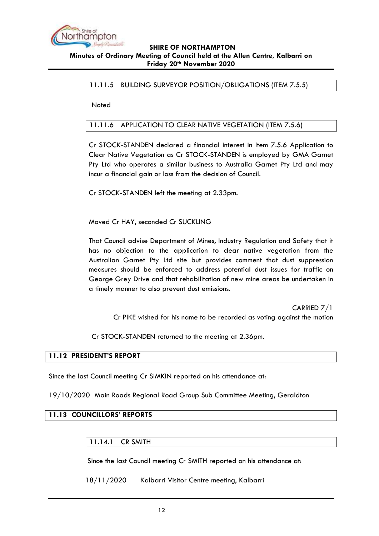

<span id="page-11-0"></span>11.11.5 BUILDING SURVEYOR POSITION/OBLIGATIONS (ITEM 7.5.5)

Noted

<span id="page-11-1"></span>11.11.6 APPLICATION TO CLEAR NATIVE VEGETATION (ITEM 7.5.6)

Cr STOCK-STANDEN declared a financial interest in Item 7.5.6 Application to Clear Native Vegetation as Cr STOCK-STANDEN is employed by GMA Garnet Pty Ltd who operates a similar business to Australia Garnet Pty Ltd and may incur a financial gain or loss from the decision of Council.

Cr STOCK-STANDEN left the meeting at 2.33pm.

Moved Cr HAY, seconded Cr SUCKLING

That Council advise Department of Mines, Industry Regulation and Safety that it has no objection to the application to clear native vegetation from the Australian Garnet Pty Ltd site but provides comment that dust suppression measures should be enforced to address potential dust issues for traffic on George Grey Drive and that rehabilitation of new mine areas be undertaken in a timely manner to also prevent dust emissions.

CARRIED 7/1

Cr PIKE wished for his name to be recorded as voting against the motion

Cr STOCK-STANDEN returned to the meeting at 2.36pm.

## <span id="page-11-2"></span>**11.12 PRESIDENT'S REPORT**

Since the last Council meeting Cr SIMKIN reported on his attendance at:

19/10/2020 Main Roads Regional Road Group Sub Committee Meeting, Geraldton

#### <span id="page-11-4"></span><span id="page-11-3"></span>**11.13 COUNCILLORS' REPORTS**

#### 11.14.1 CR SMITH

Since the last Council meeting Cr SMITH reported on his attendance at:

18/11/2020 Kalbarri Visitor Centre meeting, Kalbarri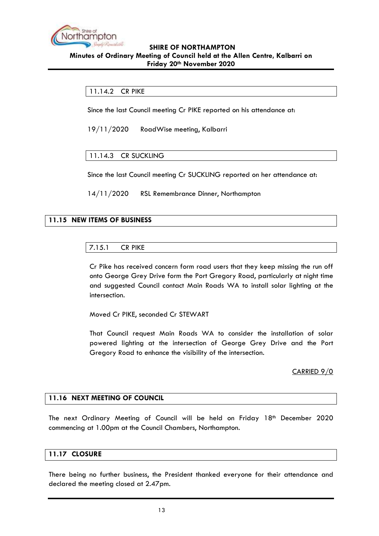

<span id="page-12-0"></span>11.14.2 CR PIKE

Since the last Council meeting Cr PIKE reported on his attendance at:

19/11/2020 RoadWise meeting, Kalbarri

<span id="page-12-1"></span>11.14.3 CR SUCKLING

Since the last Council meeting Cr SUCKLING reported on her attendance at:

14/11/2020 RSL Remembrance Dinner, Northampton

## <span id="page-12-3"></span><span id="page-12-2"></span>**11.15 NEW ITEMS OF BUSINESS**

#### 7.15.1 CR PIKE

Cr Pike has received concern form road users that they keep missing the run off onto George Grey Drive form the Port Gregory Road, particularly at night time and suggested Council contact Main Roads WA to install solar lighting at the intersection.

Moved Cr PIKE, seconded Cr STEWART

That Council request Main Roads WA to consider the installation of solar powered lighting at the intersection of George Grey Drive and the Port Gregory Road to enhance the visibility of the intersection.

## CARRIED 9/0

## <span id="page-12-4"></span>**11.16 NEXT MEETING OF COUNCIL**

The next Ordinary Meeting of Council will be held on Friday 18th December 2020 commencing at 1.00pm at the Council Chambers, Northampton.

#### <span id="page-12-5"></span>**11.17 CLOSURE**

There being no further business, the President thanked everyone for their attendance and declared the meeting closed at 2.47pm.